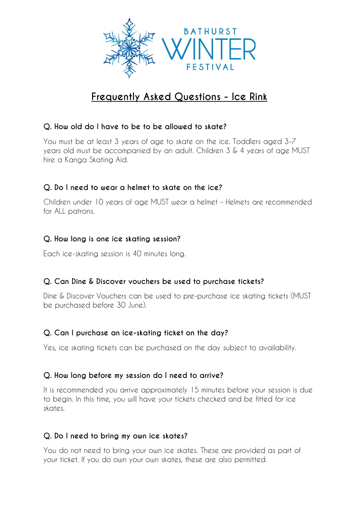

# **Frequently Asked Questions - Ice Rink**

# **Q. How old do I have to be to be allowed to skate?**

You must be at least 3 years of age to skate on the ice. Toddlers aged 3-7 years old must be accompanied by an adult. Children 3 & 4 years of age MUST hire a Kanga Skating Aid.

# **Q. Do I need to wear a helmet to skate on the ice?**

Children under 10 years of age MUST wear a helmet – Helmets are recommended for ALL patrons.

## **Q. How long is one ice skating session?**

Each ice-skating session is 40 minutes long.

## **Q. Can Dine & Discover vouchers be used to purchase tickets?**

Dine & Discover Vouchers can be used to pre-purchase ice skating tickets (MUST be purchased before 30 June).

## **Q. Can I purchase an ice-skating ticket on the day?**

Yes, ice skating tickets can be purchased on the day subject to availability.

## **Q. How long before my session do I need to arrive?**

It is recommended you arrive approximately 15 minutes before your session is due to begin. In this time, you will have your tickets checked and be fitted for ice skates.

## **Q. Do I need to bring my own ice skates?**

You do not need to bring your own ice skates. These are provided as part of your ticket. If you do own your own skates, these are also permitted.